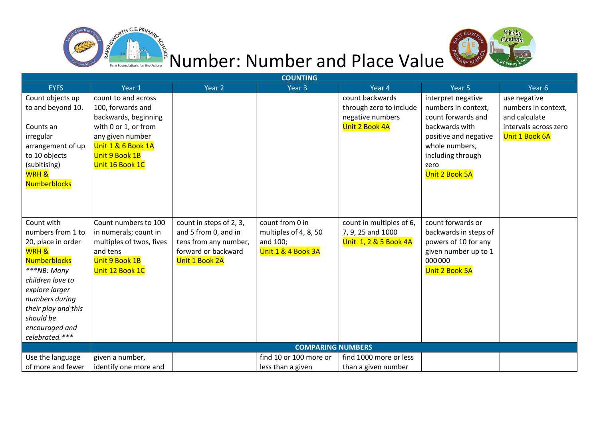



## Number: Number and Place Value

| <b>COUNTING</b>     |                          |                         |                          |                          |                       |                       |  |
|---------------------|--------------------------|-------------------------|--------------------------|--------------------------|-----------------------|-----------------------|--|
| <b>EYFS</b>         | Year 1                   | Year <sub>2</sub>       | Year <sub>3</sub>        | Year 4                   | Year <sub>5</sub>     | Year <sub>6</sub>     |  |
| Count objects up    | count to and across      |                         |                          | count backwards          | interpret negative    | use negative          |  |
| to and beyond 10.   | 100, forwards and        |                         |                          | through zero to include  | numbers in context,   | numbers in context,   |  |
|                     | backwards, beginning     |                         |                          | negative numbers         | count forwards and    | and calculate         |  |
| Counts an           | with 0 or 1, or from     |                         |                          | Unit 2 Book 4A           | backwards with        | intervals across zero |  |
| irregular           | any given number         |                         |                          |                          | positive and negative | Unit 1 Book 6A        |  |
| arrangement of up   | Unit 1 & 6 Book 1A       |                         |                          |                          | whole numbers,        |                       |  |
| to 10 objects       | Unit 9 Book 1B           |                         |                          |                          | including through     |                       |  |
| (subitising)        | Unit 16 Book 1C          |                         |                          |                          | zero                  |                       |  |
| <b>WRH &amp;</b>    |                          |                         |                          |                          | Unit 2 Book 5A        |                       |  |
| <b>Numberblocks</b> |                          |                         |                          |                          |                       |                       |  |
|                     |                          |                         |                          |                          |                       |                       |  |
|                     |                          |                         |                          |                          |                       |                       |  |
|                     |                          |                         |                          |                          |                       |                       |  |
| Count with          | Count numbers to 100     | count in steps of 2, 3, | count from 0 in          | count in multiples of 6, | count forwards or     |                       |  |
| numbers from 1 to   | in numerals; count in    | and 5 from 0, and in    | multiples of 4, 8, 50    | 7, 9, 25 and 1000        | backwards in steps of |                       |  |
| 20, place in order  | multiples of twos, fives | tens from any number,   | and 100;                 | Unit 1, 2 & 5 Book 4A    | powers of 10 for any  |                       |  |
| <b>WRH &amp;</b>    | and tens                 | forward or backward     | Unit 1 & 4 Book 3A       |                          | given number up to 1  |                       |  |
| <b>Numberblocks</b> | Unit 9 Book 1B           | Unit 1 Book 2A          |                          |                          | 000000                |                       |  |
| ***NB: Many         | Unit 12 Book 1C          |                         |                          |                          | Unit 2 Book 5A        |                       |  |
| children love to    |                          |                         |                          |                          |                       |                       |  |
| explore larger      |                          |                         |                          |                          |                       |                       |  |
| numbers during      |                          |                         |                          |                          |                       |                       |  |
| their play and this |                          |                         |                          |                          |                       |                       |  |
| should be           |                          |                         |                          |                          |                       |                       |  |
| encouraged and      |                          |                         |                          |                          |                       |                       |  |
| celebrated.***      |                          |                         |                          |                          |                       |                       |  |
|                     |                          |                         | <b>COMPARING NUMBERS</b> |                          |                       |                       |  |
| Use the language    | given a number,          |                         | find 10 or 100 more or   | find 1000 more or less   |                       |                       |  |
| of more and fewer   | identify one more and    |                         | less than a given        | than a given number      |                       |                       |  |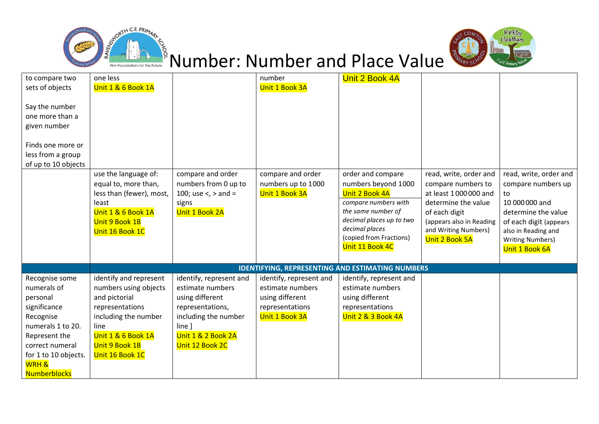



## Vumber: Number and Place Value

| to compare two<br>sets of objects<br>Say the number<br>one more than a<br>given number<br>Finds one more or<br>less from a group<br>of up to 10 objects                                     | one less<br>Unit 1 & 6 Book 1A<br>use the language of:<br>equal to, more than,<br>less than (fewer), most,<br>least<br>Unit 1 & 6 Book 1A<br>Unit 9 Book 1B<br>Unit 16 Book 1C | compare and order<br>numbers from 0 up to<br>100; use <, > and =<br>signs<br>Unit 1 Book 2A                                                                   | number<br>Unit 1 Book 3A<br>compare and order<br>numbers up to 1000<br>Unit 1 Book 3A               | Unit 2 Book 4A<br>order and compare<br>numbers beyond 1000<br>Unit 2 Book 4A<br>compare numbers with<br>the same number of<br>decimal places up to two<br>decimal places<br>(copied from Fractions)<br>Unit 11 Book 4C | read, write, order and<br>compare numbers to<br>at least 1000000 and<br>determine the value<br>of each digit<br>(appears also in Reading<br>and Writing Numbers)<br>Unit 2 Book 5A | read, write, order and<br>compare numbers up<br>to<br>10 000 000 and<br>determine the value<br>of each digit (appears<br>also in Reading and<br><b>Writing Numbers)</b><br>Unit 1 Book 6A |
|---------------------------------------------------------------------------------------------------------------------------------------------------------------------------------------------|--------------------------------------------------------------------------------------------------------------------------------------------------------------------------------|---------------------------------------------------------------------------------------------------------------------------------------------------------------|-----------------------------------------------------------------------------------------------------|------------------------------------------------------------------------------------------------------------------------------------------------------------------------------------------------------------------------|------------------------------------------------------------------------------------------------------------------------------------------------------------------------------------|-------------------------------------------------------------------------------------------------------------------------------------------------------------------------------------------|
|                                                                                                                                                                                             |                                                                                                                                                                                |                                                                                                                                                               | <b>IDENTIFYING, REPRESENTING AND ESTIMATING NUMBERS</b>                                             |                                                                                                                                                                                                                        |                                                                                                                                                                                    |                                                                                                                                                                                           |
| Recognise some<br>numerals of<br>personal<br>significance<br>Recognise<br>numerals 1 to 20.<br>Represent the<br>correct numeral<br>for 1 to 10 objects.<br><b>WRH &amp;</b><br>Numberblocks | identify and represent<br>numbers using objects<br>and pictorial<br>representations<br>including the number<br>line<br>Unit 1 & 6 Book 1A<br>Unit 9 Book 1B<br>Unit 16 Book 1C | identify, represent and<br>estimate numbers<br>using different<br>representations,<br>including the number<br>line ]<br>Unit 1 & 2 Book 2A<br>Unit 12 Book 2C | identify, represent and<br>estimate numbers<br>using different<br>representations<br>Unit 1 Book 3A | identify, represent and<br>estimate numbers<br>using different<br>representations<br>Unit 2 & 3 Book 4A                                                                                                                |                                                                                                                                                                                    |                                                                                                                                                                                           |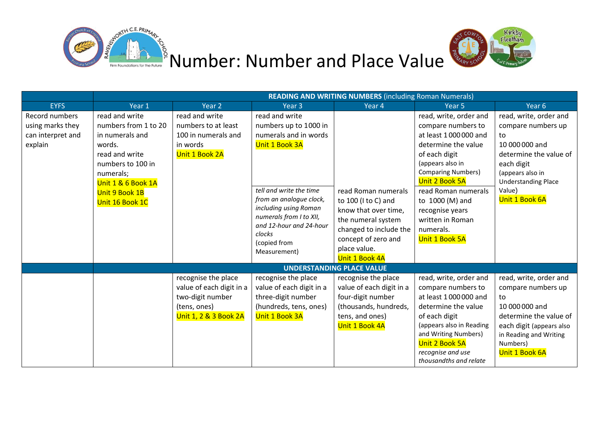



|                                                                    | <b>READING AND WRITING NUMBERS</b> (including Roman Numerals)                                                                                                                      |                                                                                                              |                                                                                                                                                                                                                                                                   |                                                                                                                                                                             |                                                                                                                                                                                                                                                                                                 |                                                                                                                                                                                            |  |  |
|--------------------------------------------------------------------|------------------------------------------------------------------------------------------------------------------------------------------------------------------------------------|--------------------------------------------------------------------------------------------------------------|-------------------------------------------------------------------------------------------------------------------------------------------------------------------------------------------------------------------------------------------------------------------|-----------------------------------------------------------------------------------------------------------------------------------------------------------------------------|-------------------------------------------------------------------------------------------------------------------------------------------------------------------------------------------------------------------------------------------------------------------------------------------------|--------------------------------------------------------------------------------------------------------------------------------------------------------------------------------------------|--|--|
| <b>EYFS</b>                                                        | Year 1                                                                                                                                                                             | Year <sub>2</sub>                                                                                            | Year 3                                                                                                                                                                                                                                                            | Year 4                                                                                                                                                                      | Year 5                                                                                                                                                                                                                                                                                          | Year 6                                                                                                                                                                                     |  |  |
| Record numbers<br>using marks they<br>can interpret and<br>explain | read and write<br>numbers from 1 to 20<br>in numerals and<br>words.<br>read and write<br>numbers to 100 in<br>numerals;<br>Unit 1 & 6 Book 1A<br>Unit 9 Book 1B<br>Unit 16 Book 1C | read and write<br>numbers to at least<br>100 in numerals and<br>in words<br>Unit 1 Book 2A                   | read and write<br>numbers up to 1000 in<br>numerals and in words<br>Unit 1 Book 3A<br>tell and write the time<br>from an analogue clock,<br>including using Roman<br>numerals from I to XII,<br>and 12-hour and 24-hour<br>clocks<br>(copied from<br>Measurement) | read Roman numerals<br>to 100 (I to C) and<br>know that over time,<br>the numeral system<br>changed to include the<br>concept of zero and<br>place value.<br>Unit 1 Book 4A | read, write, order and<br>compare numbers to<br>at least 1000000 and<br>determine the value<br>of each digit<br>(appears also in<br><b>Comparing Numbers)</b><br>Unit 2 Book 5A<br>read Roman numerals<br>to 1000 (M) and<br>recognise years<br>written in Roman<br>numerals.<br>Unit 1 Book 5A | read, write, order and<br>compare numbers up<br>to<br>10 000 000 and<br>determine the value of<br>each digit<br>(appears also in<br><b>Understanding Place</b><br>Value)<br>Unit 1 Book 6A |  |  |
|                                                                    |                                                                                                                                                                                    | <b>UNDERSTANDING PLACE VALUE</b>                                                                             |                                                                                                                                                                                                                                                                   |                                                                                                                                                                             |                                                                                                                                                                                                                                                                                                 |                                                                                                                                                                                            |  |  |
|                                                                    |                                                                                                                                                                                    | recognise the place<br>value of each digit in a<br>two-digit number<br>(tens, ones)<br>Unit 1, 2 & 3 Book 2A | recognise the place<br>value of each digit in a<br>three-digit number<br>(hundreds, tens, ones)<br>Unit 1 Book 3A                                                                                                                                                 | recognise the place<br>value of each digit in a<br>four-digit number<br>(thousands, hundreds,<br>tens, and ones)<br>Unit 1 Book 4A                                          | read, write, order and<br>compare numbers to<br>at least 1000000 and<br>determine the value<br>of each digit<br>(appears also in Reading<br>and Writing Numbers)<br><b>Unit 2 Book 5A</b><br>recognise and use<br>thousandths and relate                                                        | read, write, order and<br>compare numbers up<br>to<br>10 000 000 and<br>determine the value of<br>each digit (appears also<br>in Reading and Writing<br>Numbers)<br>Unit 1 Book 6A         |  |  |